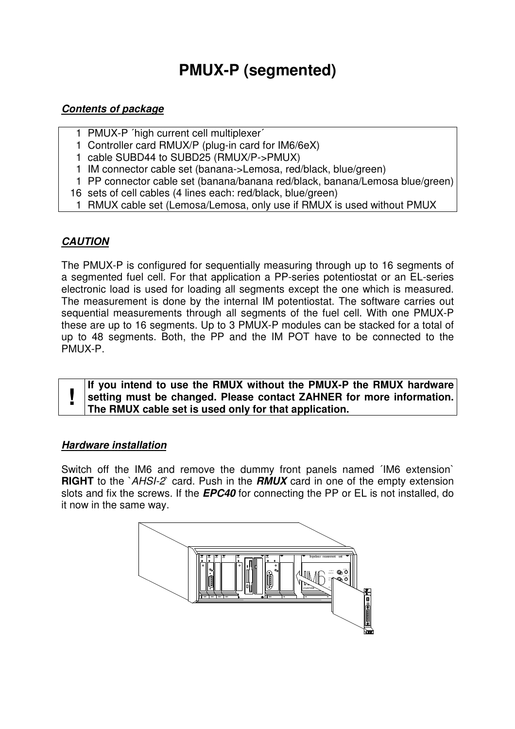# **PMUX-P (segmented)**

## **Contents of package**

- 1 PMUX-P ´high current cell multiplexer´
- 1 Controller card RMUX/P (plug-in card for IM6/6eX)
- 1 cable SUBD44 to SUBD25 (RMUX/P->PMUX)
- 1 IM connector cable set (banana->Lemosa, red/black, blue/green)
- 1 PP connector cable set (banana/banana red/black, banana/Lemosa blue/green)
- 16 sets of cell cables (4 lines each: red/black, blue/green)
- 1 RMUX cable set (Lemosa/Lemosa, only use if RMUX is used without PMUX

# **CAUTION**

The PMUX-P is configured for sequentially measuring through up to 16 segments of a segmented fuel cell. For that application a PP-series potentiostat or an EL-series electronic load is used for loading all segments except the one which is measured. The measurement is done by the internal IM potentiostat. The software carries out sequential measurements through all segments of the fuel cell. With one PMUX-P these are up to 16 segments. Up to 3 PMUX-P modules can be stacked for a total of up to 48 segments. Both, the PP and the IM POT have to be connected to the PMUX-P.

**! If you intend to use the RMUX without the PMUX-P the RMUX hardware setting must be changed. Please contact ZAHNER for more information. The RMUX cable set is used only for that application.** 

#### **Hardware installation**

Switch off the IM6 and remove the dummy front panels named ´IM6 extension` **RIGHT** to the `AHSI-2` card. Push in the **RMUX** card in one of the empty extension slots and fix the screws. If the **EPC40** for connecting the PP or EL is not installed, do it now in the same way.